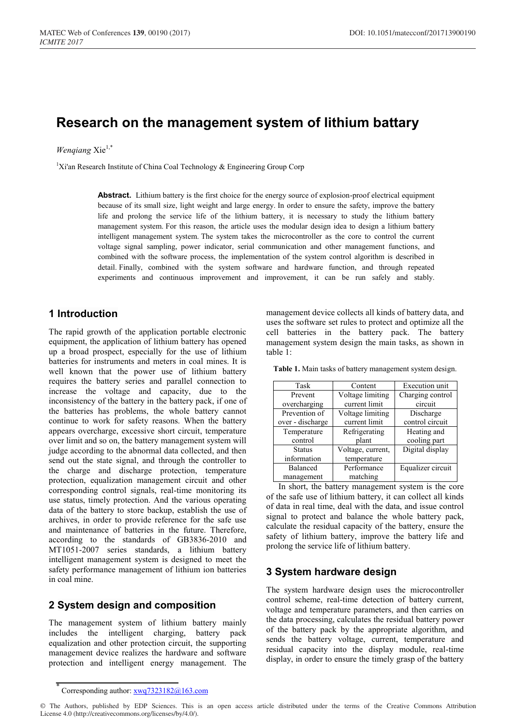# **Research on the management system of lithium battary**

## *Wenqiang* Xie1,\*

<sup>1</sup>Xi'an Research Institute of China Coal Technology & Engineering Group Corp

**Abstract.** Lithium battery is the first choice for the energy source of explosion-proof electrical equipment because of its small size, light weight and large energy. In order to ensure the safety, improve the battery life and prolong the service life of the lithium battery, it is necessary to study the lithium battery management system. For this reason, the article uses the modular design idea to design a lithium battery intelligent management system. The system takes the microcontroller as the core to control the current voltage signal sampling, power indicator, serial communication and other management functions, and combined with the software process, the implementation of the system control algorithm is described in detail. Finally, combined with the system software and hardware function, and through repeated experiments and continuous improvement and improvement, it can be run safely and stably.

# **1 Introduction**

The rapid growth of the application portable electronic equipment, the application of lithium battery has opened up a broad prospect, especially for the use of lithium batteries for instruments and meters in coal mines. It is well known that the power use of lithium battery requires the battery series and parallel connection to increase the voltage and capacity, due to the inconsistency of the battery in the battery pack, if one of the batteries has problems, the whole battery cannot continue to work for safety reasons. When the battery appears overcharge, excessive short circuit, temperature over limit and so on, the battery management system will judge according to the abnormal data collected, and then send out the state signal, and through the controller to the charge and discharge protection, temperature protection, equalization management circuit and other corresponding control signals, real-time monitoring its use status, timely protection. And the various operating data of the battery to store backup, establish the use of archives, in order to provide reference for the safe use and maintenance of batteries in the future. Therefore, according to the standards of GB3836-2010 and MT1051-2007 series standards, a lithium battery intelligent management system is designed to meet the safety performance management of lithium ion batteries in coal mine.

# **2 System design and composition**

The management system of lithium battery mainly includes the intelligent charging, battery pack equalization and other protection circuit, the supporting management device realizes the hardware and software protection and intelligent energy management. The

**Table 1.** Main tasks of battery management system design.

| Task             | Content           | Execution unit    |  |
|------------------|-------------------|-------------------|--|
| Prevent          | Voltage limiting  | Charging control  |  |
| overcharging     | current limit     | circuit           |  |
| Prevention of    | Voltage limiting  | Discharge         |  |
| over - discharge | current limit     | control circuit   |  |
| Temperature      | Refrigerating     | Heating and       |  |
| control          | plant             | cooling part      |  |
| <b>Status</b>    | Voltage, current, | Digital display   |  |
| information      | temperature       |                   |  |
| Balanced         | Performance       | Equalizer circuit |  |
| management       | matching          |                   |  |

In short, the battery management system is the core of the safe use of lithium battery, it can collect all kinds of data in real time, deal with the data, and issue control signal to protect and balance the whole battery pack, calculate the residual capacity of the battery, ensure the safety of lithium battery, improve the battery life and prolong the service life of lithium battery.

## **3 System hardware design**

The system hardware design uses the microcontroller control scheme, real-time detection of battery current, voltage and temperature parameters, and then carries on the data processing, calculates the residual battery power of the battery pack by the appropriate algorithm, and sends the battery voltage, current, temperature and residual capacity into the display module, real-time display, in order to ensure the timely grasp of the battery

management device collects all kinds of battery data, and uses the software set rules to protect and optimize all the cell batteries in the battery pack. The battery management system design the main tasks, as shown in table 1:

Corresponding author: xwq7323182@163.com

<sup>©</sup> The Authors, published by EDP Sciences. This is an open access article distributed under the terms of the Creative Commons Attribution License 4.0 (http://creativecommons.org/licenses/by/4.0/).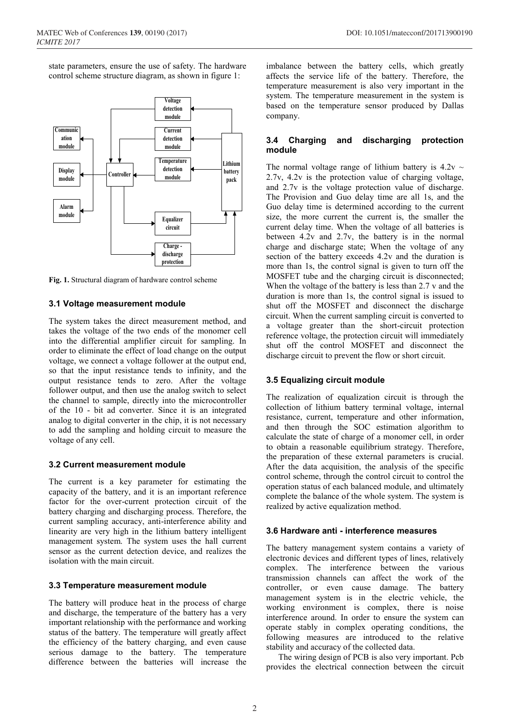state parameters, ensure the use of safety. The hardware control scheme structure diagram, as shown in figure 1:



**Fig. 1.** Structural diagram of hardware control scheme

## **3.1 Voltage measurement module**

The system takes the direct measurement method, and takes the voltage of the two ends of the monomer cell into the differential amplifier circuit for sampling. In order to eliminate the effect of load change on the output voltage, we connect a voltage follower at the output end, so that the input resistance tends to infinity, and the output resistance tends to zero. After the voltage follower output, and then use the analog switch to select the channel to sample, directly into the microcontroller of the 10 - bit ad converter. Since it is an integrated analog to digital converter in the chip, it is not necessary to add the sampling and holding circuit to measure the voltage of any cell.

### **3.2 Current measurement module**

The current is a key parameter for estimating the capacity of the battery, and it is an important reference factor for the over-current protection circuit of the battery charging and discharging process. Therefore, the current sampling accuracy, anti-interference ability and linearity are very high in the lithium battery intelligent management system. The system uses the hall current sensor as the current detection device, and realizes the isolation with the main circuit.

### **3.3 Temperature measurement module**

The battery will produce heat in the process of charge and discharge, the temperature of the battery has a very important relationship with the performance and working status of the battery. The temperature will greatly affect the efficiency of the battery charging, and even cause serious damage to the battery. The temperature difference between the batteries will increase the

imbalance between the battery cells, which greatly affects the service life of the battery. Therefore, the temperature measurement is also very important in the system. The temperature measurement in the system is based on the temperature sensor produced by Dallas company.

## **3.4 Charging and discharging protection module**

The normal voltage range of lithium battery is  $4.2v \sim$ 2.7v, 4.2v is the protection value of charging voltage, and 2.7v is the voltage protection value of discharge. The Provision and Guo delay time are all 1s, and the Guo delay time is determined according to the current size, the more current the current is, the smaller the current delay time. When the voltage of all batteries is between 4.2v and 2.7v, the battery is in the normal charge and discharge state; When the voltage of any section of the battery exceeds 4.2v and the duration is more than 1s, the control signal is given to turn off the MOSFET tube and the charging circuit is disconnected; When the voltage of the battery is less than 2.7 v and the duration is more than 1s, the control signal is issued to shut off the MOSFET and disconnect the discharge circuit. When the current sampling circuit is converted to a voltage greater than the short-circuit protection reference voltage, the protection circuit will immediately shut off the control MOSFET and disconnect the discharge circuit to prevent the flow or short circuit.

## **3.5 Equalizing circuit module**

The realization of equalization circuit is through the collection of lithium battery terminal voltage, internal resistance, current, temperature and other information, and then through the SOC estimation algorithm to calculate the state of charge of a monomer cell, in order to obtain a reasonable equilibrium strategy. Therefore, the preparation of these external parameters is crucial. After the data acquisition, the analysis of the specific control scheme, through the control circuit to control the operation status of each balanced module, and ultimately complete the balance of the whole system. The system is realized by active equalization method.

## **3.6 Hardware anti - interference measures**

The battery management system contains a variety of electronic devices and different types of lines, relatively complex. The interference between the various transmission channels can affect the work of the controller, or even cause damage. The battery management system is in the electric vehicle, the working environment is complex, there is noise interference around. In order to ensure the system can operate stably in complex operating conditions, the following measures are introduced to the relative stability and accuracy of the collected data.

The wiring design of PCB is also very important. Pcb provides the electrical connection between the circuit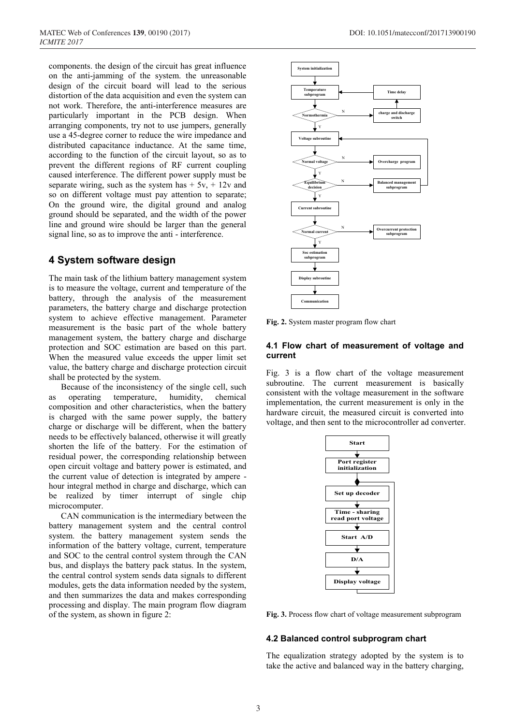components. the design of the circuit has great influence on the anti-jamming of the system. the unreasonable design of the circuit board will lead to the serious distortion of the data acquisition and even the system can not work. Therefore, the anti-interference measures are particularly important in the PCB design. When arranging components, try not to use jumpers, generally use a 45-degree corner to reduce the wire impedance and distributed capacitance inductance. At the same time, according to the function of the circuit layout, so as to prevent the different regions of RF current coupling caused interference. The different power supply must be separate wiring, such as the system has  $+ 5y$ ,  $+ 12y$  and so on different voltage must pay attention to separate; On the ground wire, the digital ground and analog ground should be separated, and the width of the power line and ground wire should be larger than the general signal line, so as to improve the anti - interference.

## **4 System software design**

The main task of the lithium battery management system is to measure the voltage, current and temperature of the battery, through the analysis of the measurement parameters, the battery charge and discharge protection system to achieve effective management. Parameter measurement is the basic part of the whole battery management system, the battery charge and discharge protection and SOC estimation are based on this part. When the measured value exceeds the upper limit set value, the battery charge and discharge protection circuit shall be protected by the system.

Because of the inconsistency of the single cell, such as operating temperature, humidity, chemical composition and other characteristics, when the battery is charged with the same power supply, the battery charge or discharge will be different, when the battery needs to be effectively balanced, otherwise it will greatly shorten the life of the battery. For the estimation of residual power, the corresponding relationship between open circuit voltage and battery power is estimated, and the current value of detection is integrated by ampere hour integral method in charge and discharge, which can be realized by timer interrupt of single chip microcomputer.

CAN communication is the intermediary between the battery management system and the central control system. the battery management system sends the information of the battery voltage, current, temperature and SOC to the central control system through the CAN bus, and displays the battery pack status. In the system, the central control system sends data signals to different modules, gets the data information needed by the system, and then summarizes the data and makes corresponding processing and display. The main program flow diagram of the system, as shown in figure 2:



**Fig. 2.** System master program flow chart

### **4.1 Flow chart of measurement of voltage and current**

Fig. 3 is a flow chart of the voltage measurement subroutine. The current measurement is basically consistent with the voltage measurement in the software implementation, the current measurement is only in the hardware circuit, the measured circuit is converted into voltage, and then sent to the microcontroller ad converter.



**Fig. 3.** Process flow chart of voltage measurement subprogram

#### **4.2 Balanced control subprogram chart**

The equalization strategy adopted by the system is to take the active and balanced way in the battery charging,